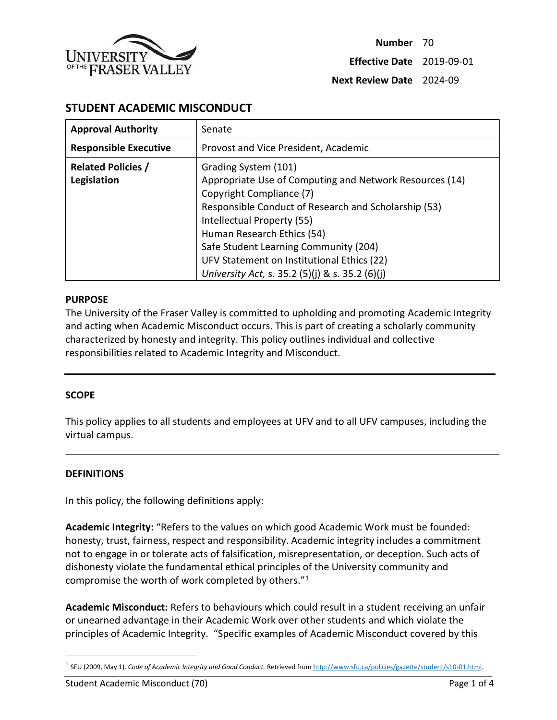

# **STUDENT ACADEMIC MISCONDUCT**

| <b>Approval Authority</b>                | Senate                                                                                                                                                                                                                                                                                                                                                                    |
|------------------------------------------|---------------------------------------------------------------------------------------------------------------------------------------------------------------------------------------------------------------------------------------------------------------------------------------------------------------------------------------------------------------------------|
| <b>Responsible Executive</b>             | Provost and Vice President, Academic                                                                                                                                                                                                                                                                                                                                      |
| <b>Related Policies /</b><br>Legislation | Grading System (101)<br>Appropriate Use of Computing and Network Resources (14)<br>Copyright Compliance (7)<br>Responsible Conduct of Research and Scholarship (53)<br>Intellectual Property (55)<br>Human Research Ethics (54)<br>Safe Student Learning Community (204)<br>UFV Statement on Institutional Ethics (22)<br>University Act, s. 35.2 (5)(j) & s. 35.2 (6)(j) |

### **PURPOSE**

The University of the Fraser Valley is committed to upholding and promoting Academic Integrity and acting when Academic Misconduct occurs. This is part of creating a scholarly community characterized by honesty and integrity. This policy outlines individual and collective responsibilities related to Academic Integrity and Misconduct.

### **SCOPE**

This policy applies to all students and employees at UFV and to all UFV campuses, including the virtual campus.

### **DEFINITIONS**

 $\overline{\phantom{a}}$ 

In this policy, the following definitions apply:

**Academic Integrity:** "Refers to the values on which good Academic Work must be founded: honesty, trust, fairness, respect and responsibility. Academic integrity includes a commitment not to engage in or tolerate acts of falsification, misrepresentation, or deception. Such acts of dishonesty violate the fundamental ethical principles of the University community and compromise the worth of work completed by others."<sup>1</sup>

**Academic Misconduct:** Refers to behaviours which could result in a student receiving an unfair or unearned advantage in their Academic Work over other students and which violate the principles of Academic Integrity. "Specific examples of Academic Misconduct covered by this

<sup>1</sup> SFU (2009, May 1). *Code of Academic Integrity and Good Conduct.* Retrieved fro[m http://www.sfu.ca/policies/gazette/student/s10-01.html.](http://www.sfu.ca/policies/gazette/student/s10-01.html)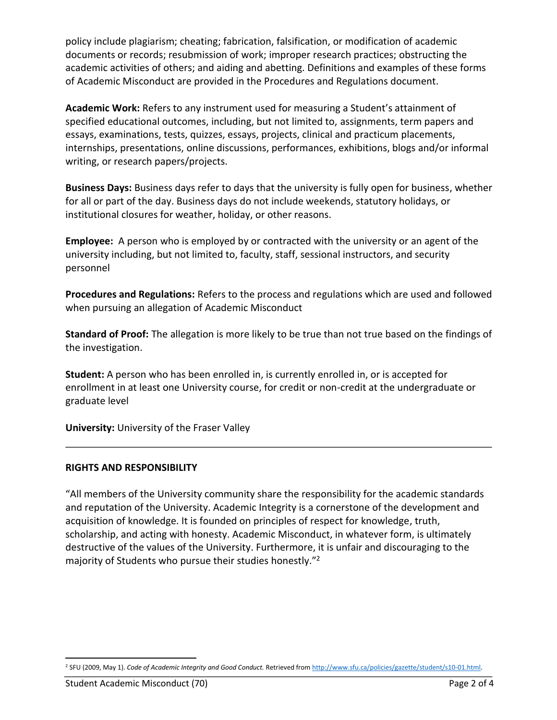policy include plagiarism; cheating; fabrication, falsification, or modification of academic documents or records; resubmission of work; improper research practices; obstructing the academic activities of others; and aiding and abetting. Definitions and examples of these forms of Academic Misconduct are provided in the Procedures and Regulations document.

**Academic Work:** Refers to any instrument used for measuring a Student's attainment of specified educational outcomes, including, but not limited to, assignments, term papers and essays, examinations, tests, quizzes, essays, projects, clinical and practicum placements, internships, presentations, online discussions, performances, exhibitions, blogs and/or informal writing, or research papers/projects.

**Business Days:** Business days refer to days that the university is fully open for business, whether for all or part of the day. Business days do not include weekends, statutory holidays, or institutional closures for weather, holiday, or other reasons.

**Employee:** A person who is employed by or contracted with the university or an agent of the university including, but not limited to, faculty, staff, sessional instructors, and security personnel

**Procedures and Regulations:** Refers to the process and regulations which are used and followed when pursuing an allegation of Academic Misconduct

**Standard of Proof:** The allegation is more likely to be true than not true based on the findings of the investigation.

**Student:** A person who has been enrolled in, is currently enrolled in, or is accepted for enrollment in at least one University course, for credit or non-credit at the undergraduate or graduate level

**University:** University of the Fraser Valley

## **RIGHTS AND RESPONSIBILITY**

"All members of the University community share the responsibility for the academic standards and reputation of the University. Academic Integrity is a cornerstone of the development and acquisition of knowledge. It is founded on principles of respect for knowledge, truth, scholarship, and acting with honesty. Academic Misconduct, in whatever form, is ultimately destructive of the values of the University. Furthermore, it is unfair and discouraging to the majority of Students who pursue their studies honestly."<sup>2</sup>

 $\overline{a}$ <sup>2</sup> SFU (2009, May 1). *Code of Academic Integrity and Good Conduct.* Retrieved fro[m http://www.sfu.ca/policies/gazette/student/s10-01.html.](http://www.sfu.ca/policies/gazette/student/s10-01.html)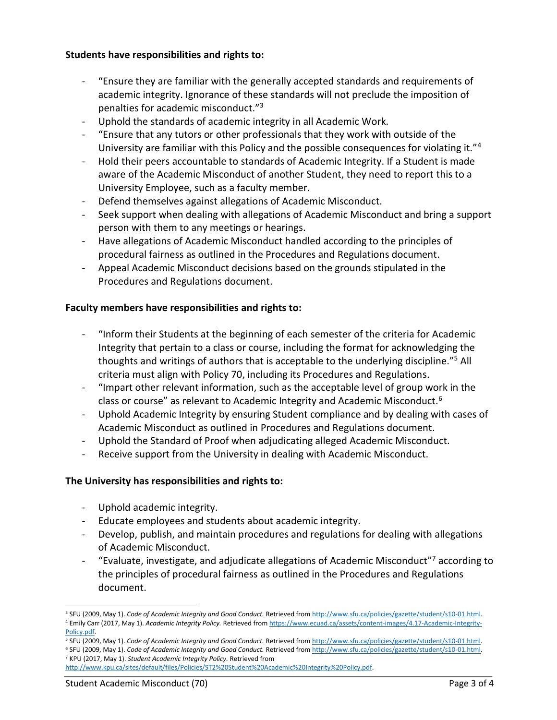## **Students have responsibilities and rights to:**

- "Ensure they are familiar with the generally accepted standards and requirements of academic integrity. Ignorance of these standards will not preclude the imposition of penalties for academic misconduct."<sup>3</sup>
- Uphold the standards of academic integrity in all Academic Work.
- "Ensure that any tutors or other professionals that they work with outside of the University are familiar with this Policy and the possible consequences for violating it."<sup>4</sup>
- Hold their peers accountable to standards of Academic Integrity. If a Student is made aware of the Academic Misconduct of another Student, they need to report this to a University Employee, such as a faculty member.
- Defend themselves against allegations of Academic Misconduct.
- Seek support when dealing with allegations of Academic Misconduct and bring a support person with them to any meetings or hearings.
- Have allegations of Academic Misconduct handled according to the principles of procedural fairness as outlined in the Procedures and Regulations document.
- Appeal Academic Misconduct decisions based on the grounds stipulated in the Procedures and Regulations document.

## **Faculty members have responsibilities and rights to:**

- "Inform their Students at the beginning of each semester of the criteria for Academic Integrity that pertain to a class or course, including the format for acknowledging the thoughts and writings of authors that is acceptable to the underlying discipline."<sup>5</sup> All criteria must align with Policy 70, including its Procedures and Regulations.
- "Impart other relevant information, such as the acceptable level of group work in the class or course" as relevant to Academic Integrity and Academic Misconduct.<sup>6</sup>
- Uphold Academic Integrity by ensuring Student compliance and by dealing with cases of Academic Misconduct as outlined in Procedures and Regulations document.
- Uphold the Standard of Proof when adjudicating alleged Academic Misconduct.
- Receive support from the University in dealing with Academic Misconduct.

## **The University has responsibilities and rights to:**

- Uphold academic integrity.
- Educate employees and students about academic integrity.
- Develop, publish, and maintain procedures and regulations for dealing with allegations of Academic Misconduct.
- "Evaluate, investigate, and adjudicate allegations of Academic Misconduct"<sup>7</sup> according to the principles of procedural fairness as outlined in the Procedures and Regulations document.

<sup>4</sup> Emily Carr (2017, May 1). *Academic Integrity Policy.* Retrieved fro[m https://www.ecuad.ca/assets/content-images/4.17-Academic-Integrity-](https://www.ecuad.ca/assets/content-images/4.17-Academic-Integrity-Policy.pdf)[Policy.pdf.](https://www.ecuad.ca/assets/content-images/4.17-Academic-Integrity-Policy.pdf) 

 $\overline{a}$ 

<sup>3</sup> SFU (2009, May 1). *Code of Academic Integrity and Good Conduct.* Retrieved fro[m http://www.sfu.ca/policies/gazette/student/s10-01.html.](http://www.sfu.ca/policies/gazette/student/s10-01.html)

<sup>5</sup> SFU (2009, May 1). *Code of Academic Integrity and Good Conduct.* Retrieved fro[m http://www.sfu.ca/policies/gazette/student/s10-01.html.](http://www.sfu.ca/policies/gazette/student/s10-01.html)

<sup>6</sup> SFU (2009, May 1). *Code of Academic Integrity and Good Conduct.* Retrieved fro[m http://www.sfu.ca/policies/gazette/student/s10-01.html.](http://www.sfu.ca/policies/gazette/student/s10-01.html) <sup>7</sup> KPU (2017, May 1). *Student Academic Integrity Policy.* Retrieved from

[http://www.kpu.ca/sites/default/files/Policies/ST2%20Student%20Academic%20Integrity%20Policy.pdf.](http://www.kpu.ca/sites/default/files/Policies/ST2%20Student%20Academic%20Integrity%20Policy.pdf)